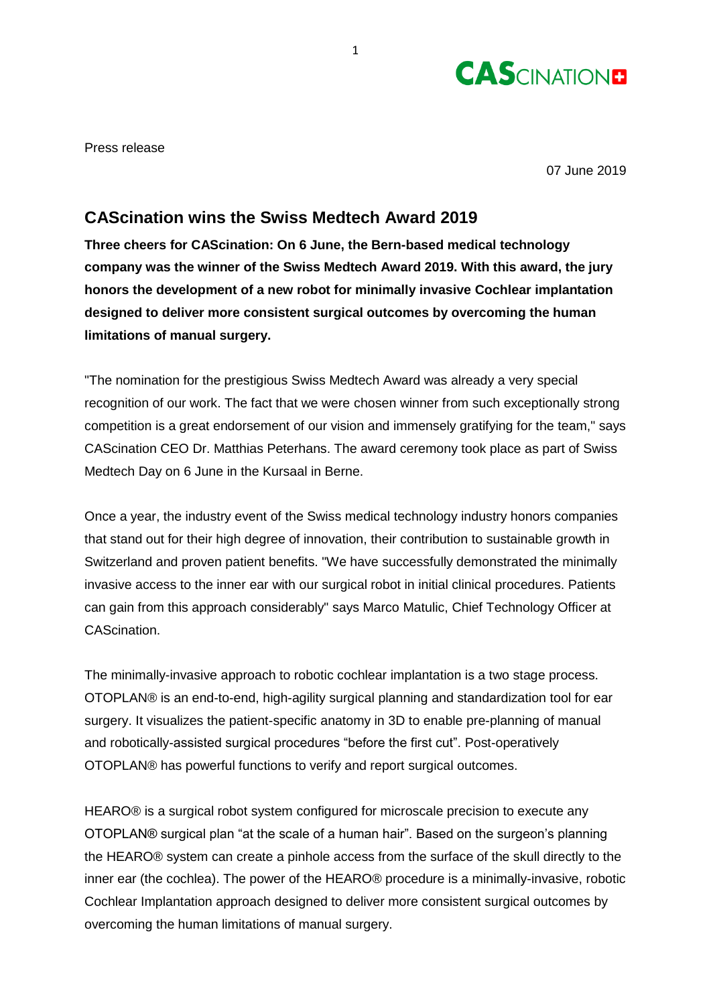

Press release

07 June 2019

## **CAScination wins the Swiss Medtech Award 2019**

**Three cheers for CAScination: On 6 June, the Bern-based medical technology company was the winner of the Swiss Medtech Award 2019. With this award, the jury honors the development of a new robot for minimally invasive Cochlear implantation designed to deliver more consistent surgical outcomes by overcoming the human limitations of manual surgery.**

"The nomination for the prestigious Swiss Medtech Award was already a very special recognition of our work. The fact that we were chosen winner from such exceptionally strong competition is a great endorsement of our vision and immensely gratifying for the team," says CAScination CEO Dr. Matthias Peterhans. The award ceremony took place as part of Swiss Medtech Day on 6 June in the Kursaal in Berne.

Once a year, the industry event of the Swiss medical technology industry honors companies that stand out for their high degree of innovation, their contribution to sustainable growth in Switzerland and proven patient benefits. "We have successfully demonstrated the minimally invasive access to the inner ear with our surgical robot in initial clinical procedures. Patients can gain from this approach considerably" says Marco Matulic, Chief Technology Officer at CAScination.

The minimally-invasive approach to robotic cochlear implantation is a two stage process. OTOPLAN® is an end-to-end, high-agility surgical planning and standardization tool for ear surgery. It visualizes the patient-specific anatomy in 3D to enable pre-planning of manual and robotically-assisted surgical procedures "before the first cut". Post-operatively OTOPLAN® has powerful functions to verify and report surgical outcomes.

HEARO® is a surgical robot system configured for microscale precision to execute any OTOPLAN® surgical plan "at the scale of a human hair". Based on the surgeon's planning the HEARO® system can create a pinhole access from the surface of the skull directly to the inner ear (the cochlea). The power of the HEARO® procedure is a minimally-invasive, robotic Cochlear Implantation approach designed to deliver more consistent surgical outcomes by overcoming the human limitations of manual surgery.

1